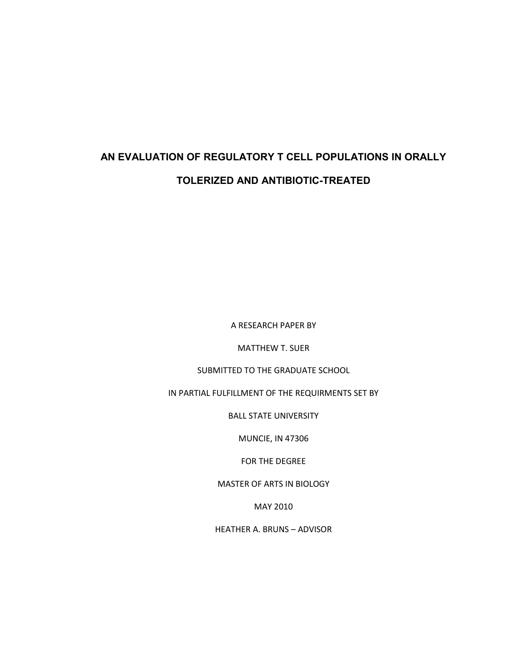## **AN EVALUATION OF REGULATORY T CELL POPULATIONS IN ORALLY TOLERIZED AND ANTIBIOTIC-TREATED**

A RESEARCH PAPER BY

MATTHEW T. SUER

SUBMITTED TO THE GRADUATE SCHOOL

IN PARTIAL FULFILLMENT OF THE REQUIRMENTS SET BY

BALL STATE UNIVERSITY

MUNCIE, IN 47306

FOR THE DEGREE

MASTER OF ARTS IN BIOLOGY

MAY 2010

HEATHER A. BRUNS – ADVISOR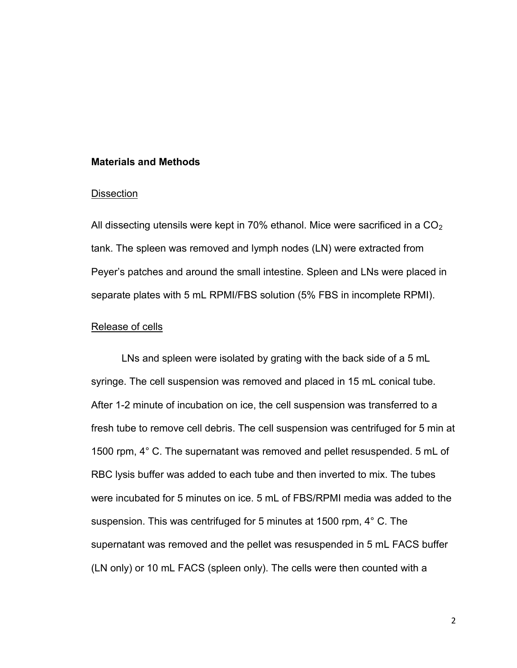#### **Materials and Methods**

#### **Dissection**

All dissecting utensils were kept in 70% ethanol. Mice were sacrificed in a  $CO<sub>2</sub>$ tank. The spleen was removed and lymph nodes (LN) were extracted from Peyer's patches and around the small intestine. Spleen and LNs were placed in separate plates with 5 mL RPMI/FBS solution (5% FBS in incomplete RPMI).

## Release of cells

LNs and spleen were isolated by grating with the back side of a 5 mL syringe. The cell suspension was removed and placed in 15 mL conical tube. After 1-2 minute of incubation on ice, the cell suspension was transferred to a fresh tube to remove cell debris. The cell suspension was centrifuged for 5 min at 1500 rpm, 4° C. The supernatant was removed and pellet resuspended. 5 mL of RBC lysis buffer was added to each tube and then inverted to mix. The tubes were incubated for 5 minutes on ice. 5 mL of FBS/RPMI media was added to the suspension. This was centrifuged for 5 minutes at 1500 rpm, 4° C. The supernatant was removed and the pellet was resuspended in 5 mL FACS buffer (LN only) or 10 mL FACS (spleen only). The cells were then counted with a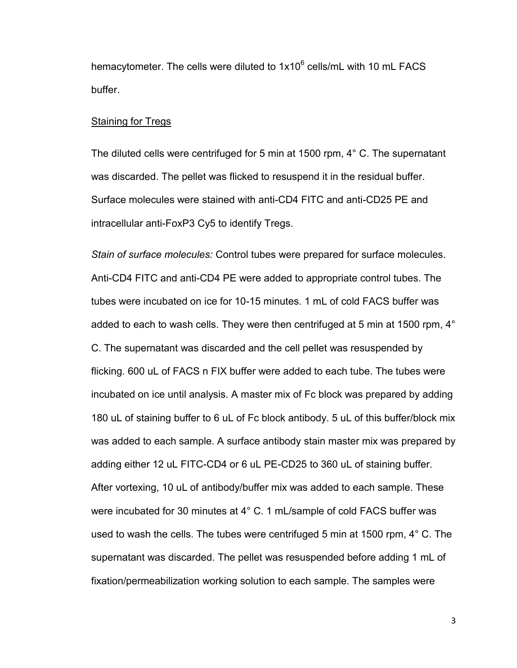hemacytometer. The cells were diluted to 1x10<sup>6</sup> cells/mL with 10 mL FACS buffer.

### Staining for Tregs

The diluted cells were centrifuged for 5 min at 1500 rpm, 4° C. The supernatant was discarded. The pellet was flicked to resuspend it in the residual buffer. Surface molecules were stained with anti-CD4 FITC and anti-CD25 PE and intracellular anti-FoxP3 Cy5 to identify Tregs.

*Stain of surface molecules:* Control tubes were prepared for surface molecules. Anti-CD4 FITC and anti-CD4 PE were added to appropriate control tubes. The tubes were incubated on ice for 10-15 minutes. 1 mL of cold FACS buffer was added to each to wash cells. They were then centrifuged at 5 min at 1500 rpm, 4<sup>°</sup> C. The supernatant was discarded and the cell pellet was resuspended by flicking. 600 uL of FACS n FIX buffer were added to each tube. The tubes were incubated on ice until analysis. A master mix of Fc block was prepared by adding 180 uL of staining buffer to 6 uL of Fc block antibody. 5 uL of this buffer/block mix was added to each sample. A surface antibody stain master mix was prepared by adding either 12 uL FITC-CD4 or 6 uL PE-CD25 to 360 uL of staining buffer. After vortexing, 10 uL of antibody/buffer mix was added to each sample. These were incubated for 30 minutes at 4° C. 1 mL/sample of cold FACS buffer was used to wash the cells. The tubes were centrifuged 5 min at 1500 rpm, 4° C. The supernatant was discarded. The pellet was resuspended before adding 1 mL of fixation/permeabilization working solution to each sample. The samples were

3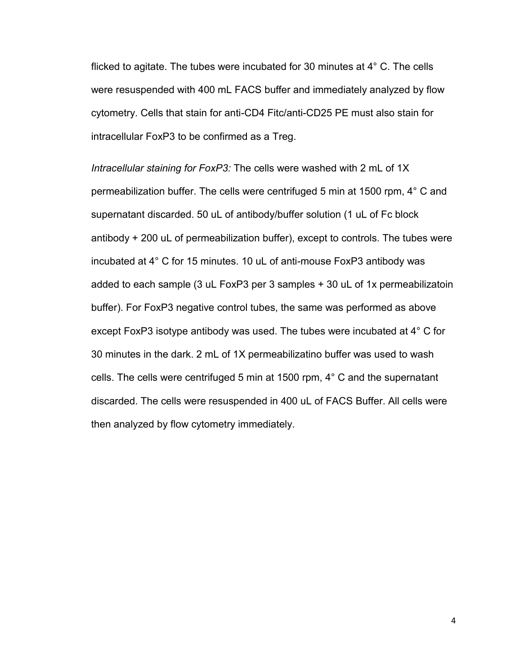flicked to agitate. The tubes were incubated for 30 minutes at 4° C. The cells were resuspended with 400 mL FACS buffer and immediately analyzed by flow cytometry. Cells that stain for anti-CD4 Fitc/anti-CD25 PE must also stain for intracellular FoxP3 to be confirmed as a Treg.

*Intracellular staining for FoxP3:* The cells were washed with 2 mL of 1X permeabilization buffer. The cells were centrifuged 5 min at 1500 rpm, 4° C and supernatant discarded. 50 uL of antibody/buffer solution (1 uL of Fc block antibody + 200 uL of permeabilization buffer), except to controls. The tubes were incubated at 4° C for 15 minutes. 10 uL of anti-mouse FoxP3 antibody was added to each sample (3 uL FoxP3 per 3 samples + 30 uL of 1x permeabilizatoin buffer). For FoxP3 negative control tubes, the same was performed as above except FoxP3 isotype antibody was used. The tubes were incubated at 4° C for 30 minutes in the dark. 2 mL of 1X permeabilizatino buffer was used to wash cells. The cells were centrifuged 5 min at 1500 rpm, 4° C and the supernatant discarded. The cells were resuspended in 400 uL of FACS Buffer. All cells were then analyzed by flow cytometry immediately.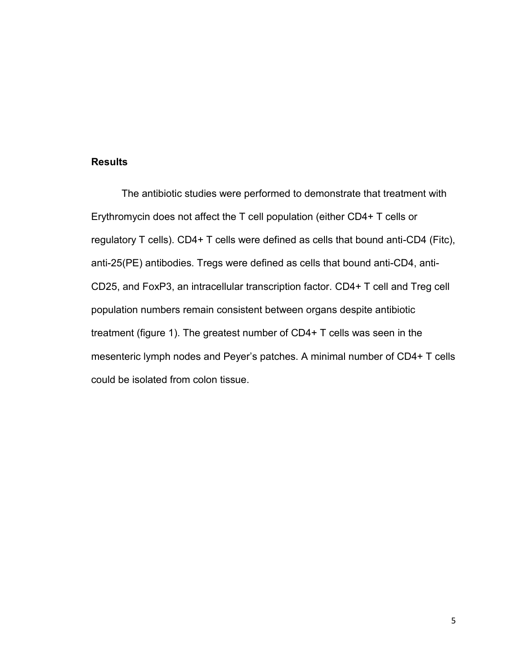## **Results**

The antibiotic studies were performed to demonstrate that treatment with Erythromycin does not affect the T cell population (either CD4+ T cells or regulatory T cells). CD4+ T cells were defined as cells that bound anti-CD4 (Fitc), anti-25(PE) antibodies. Tregs were defined as cells that bound anti-CD4, anti-CD25, and FoxP3, an intracellular transcription factor. CD4+ T cell and Treg cell population numbers remain consistent between organs despite antibiotic treatment (figure 1). The greatest number of CD4+ T cells was seen in the mesenteric lymph nodes and Peyer's patches. A minimal number of CD4+ T cells could be isolated from colon tissue.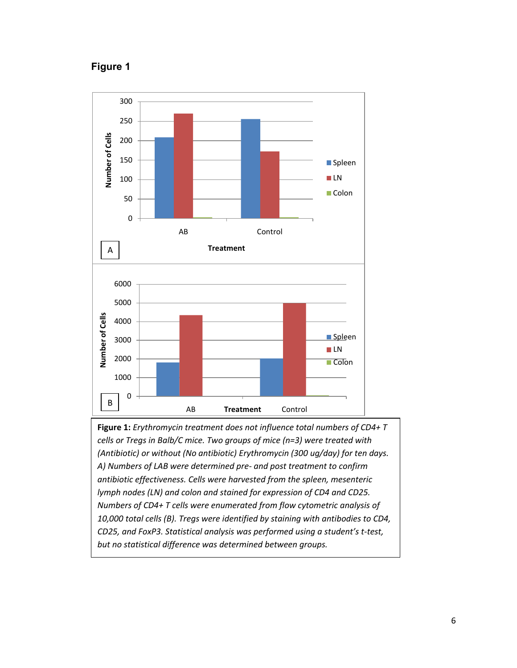## **Figure 1**



**Figure 1:** *Erythromycin treatment does not influence total numbers of CD4+ T cells or Tregs in Balb/C mice. Two groups of mice (n=3) were treated with (Antibiotic) or without (No antibiotic) Erythromycin (300 ug/day) for ten days. A) Numbers of LAB were determined pre- and post treatment to confirm antibiotic effectiveness. Cells were harvested from the spleen, mesenteric lymph nodes (LN) and colon and stained for expression of CD4 and CD25. Numbers of CD4+ T cells were enumerated from flow cytometric analysis of 10,000 total cells (B). Tregs were identified by staining with antibodies to CD4, CD25, and FoxP3. Statistical analysis was performed using a student's t-test, but no statistical difference was determined between groups.*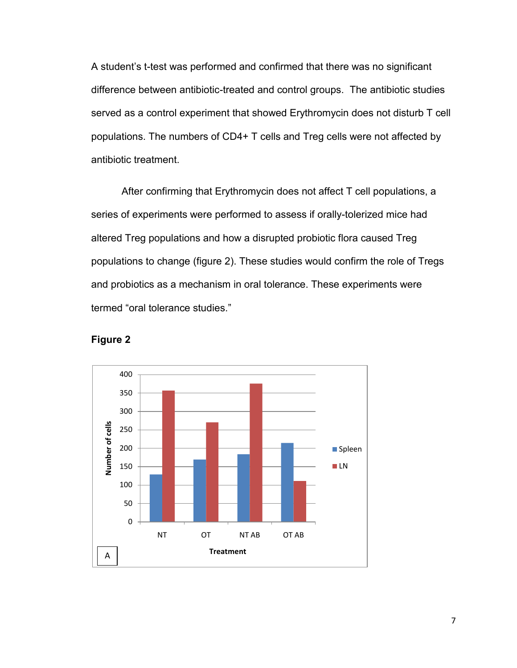A student's t-test was performed and confirmed that there was no significant difference between antibiotic-treated and control groups. The antibiotic studies served as a control experiment that showed Erythromycin does not disturb T cell populations. The numbers of CD4+ T cells and Treg cells were not affected by antibiotic treatment.

After confirming that Erythromycin does not affect T cell populations, a series of experiments were performed to assess if orally-tolerized mice had altered Treg populations and how a disrupted probiotic flora caused Treg populations to change (figure 2). These studies would confirm the role of Tregs and probiotics as a mechanism in oral tolerance. These experiments were termed "oral tolerance studies."



**Figure 2**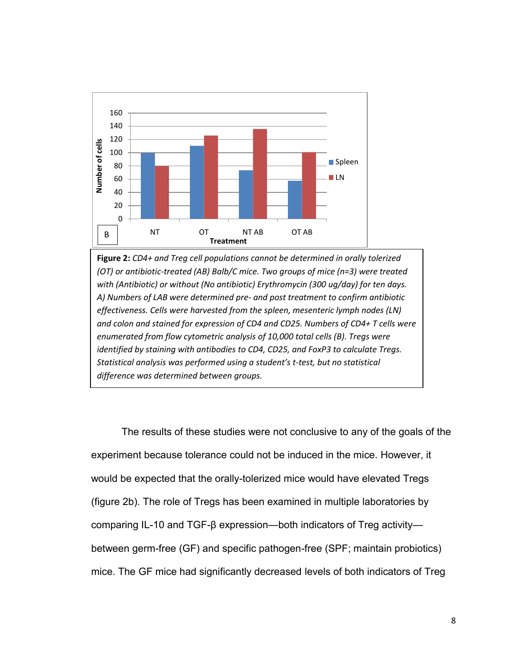

**Figure 2:** *CD4+ and Treg cell populations cannot be determined in orally tolerized (OT) or antibiotic-treated (AB) Balb/C mice. Two groups of mice (n=3) were treated with (Antibiotic) or without (No antibiotic) Erythromycin (300 ug/day) for ten days. A) Numbers of LAB were determined pre- and post treatment to confirm antibiotic effectiveness. Cells were harvested from the spleen, mesenteric lymph nodes (LN) and colon and stained for expression of CD4 and CD25. Numbers of CD4+ T cells were enumerated from flow cytometric analysis of 10,000 total cells (B). Tregs were identified by staining with antibodies to CD4, CD25, and FoxP3 to calculate Tregs. Statistical analysis was performed using a student's t-test, but no statistical difference was determined between groups.* 

The results of these studies were not conclusive to any of the goals of the experiment because tolerance could not be induced in the mice. However, it would be expected that the orally-tolerized mice would have elevated Tregs (figure 2b). The role of Tregs has been examined in multiple laboratories by comparing IL-10 and TGF-β expression—both indicators of Treg activity between germ-free (GF) and specific pathogen-free (SPF; maintain probiotics) mice. The GF mice had significantly decreased levels of both indicators of Treg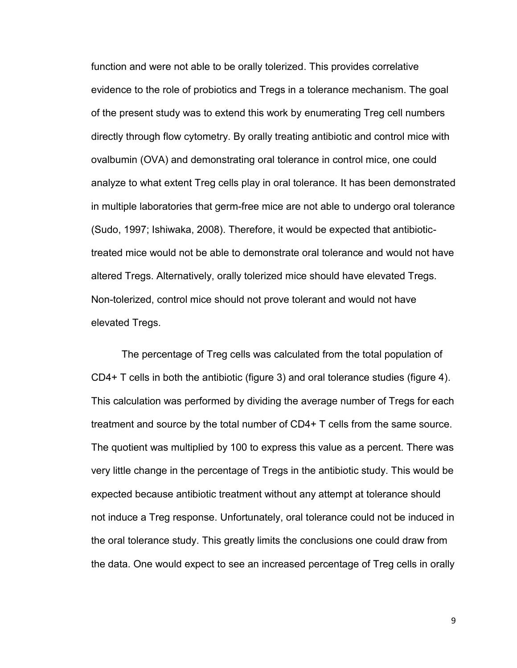function and were not able to be orally tolerized. This provides correlative evidence to the role of probiotics and Tregs in a tolerance mechanism. The goal of the present study was to extend this work by enumerating Treg cell numbers directly through flow cytometry. By orally treating antibiotic and control mice with ovalbumin (OVA) and demonstrating oral tolerance in control mice, one could analyze to what extent Treg cells play in oral tolerance. It has been demonstrated in multiple laboratories that germ-free mice are not able to undergo oral tolerance (Sudo, 1997; Ishiwaka, 2008). Therefore, it would be expected that antibiotictreated mice would not be able to demonstrate oral tolerance and would not have altered Tregs. Alternatively, orally tolerized mice should have elevated Tregs. Non-tolerized, control mice should not prove tolerant and would not have elevated Tregs.

The percentage of Treg cells was calculated from the total population of CD4+ T cells in both the antibiotic (figure 3) and oral tolerance studies (figure 4). This calculation was performed by dividing the average number of Tregs for each treatment and source by the total number of CD4+ T cells from the same source. The quotient was multiplied by 100 to express this value as a percent. There was very little change in the percentage of Tregs in the antibiotic study. This would be expected because antibiotic treatment without any attempt at tolerance should not induce a Treg response. Unfortunately, oral tolerance could not be induced in the oral tolerance study. This greatly limits the conclusions one could draw from the data. One would expect to see an increased percentage of Treg cells in orally

9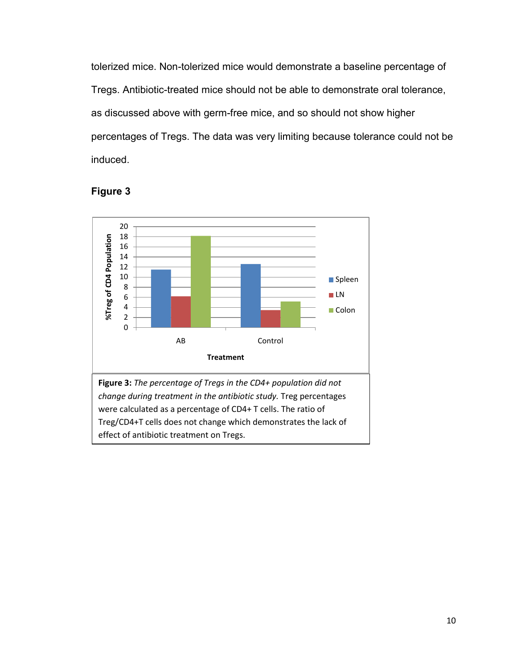tolerized mice. Non-tolerized mice would demonstrate a baseline percentage of Tregs. Antibiotic-treated mice should not be able to demonstrate oral tolerance, as discussed above with germ-free mice, and so should not show higher percentages of Tregs. The data was very limiting because tolerance could not be induced.

# **Figure 3**



were calculated as a percentage of CD4+ T cells. The ratio of Treg/CD4+T cells does not change which demonstrates the lack of effect of antibiotic treatment on Tregs.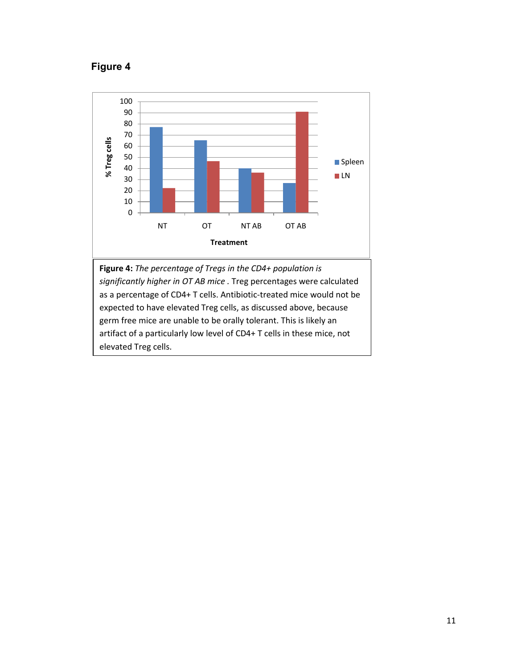## **Figure 4**



**Figure 4:** *The percentage of Tregs in the CD4+ population is significantly higher in OT AB mice .* Treg percentages were calculated as a percentage of CD4+ T cells. Antibiotic-treated mice would not be expected to have elevated Treg cells, as discussed above, because germ free mice are unable to be orally tolerant. This is likely an artifact of a particularly low level of CD4+ T cells in these mice, not elevated Treg cells.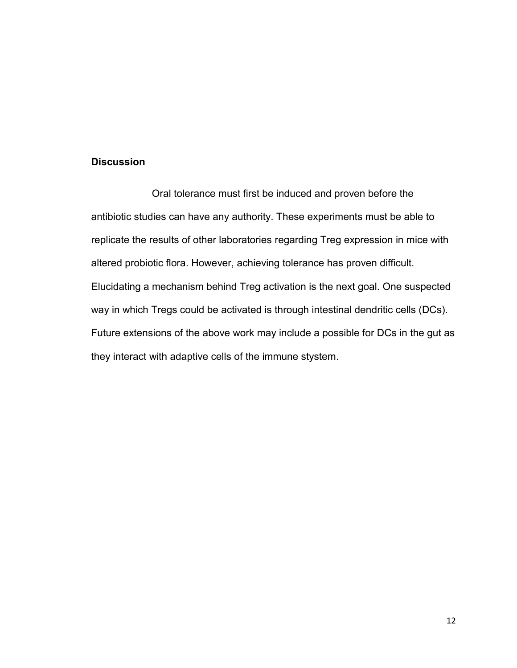## **Discussion**

Oral tolerance must first be induced and proven before the antibiotic studies can have any authority. These experiments must be able to replicate the results of other laboratories regarding Treg expression in mice with altered probiotic flora. However, achieving tolerance has proven difficult. Elucidating a mechanism behind Treg activation is the next goal. One suspected way in which Tregs could be activated is through intestinal dendritic cells (DCs). Future extensions of the above work may include a possible for DCs in the gut as they interact with adaptive cells of the immune stystem.